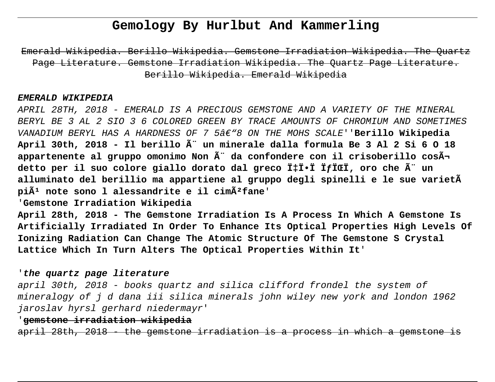# **Gemology By Hurlbut And Kammerling**

Emerald Wikipedia. Berillo Wikipedia. Gemstone Irradiation Wikipedia. The Page Literature. Gemstone Irradiation Wikipedia. The Quartz Page Literature. Berillo Wikipedia. Emerald Wikipedia

#### **EMERALD WIKIPEDIA**

APRIL 28TH, 2018 - EMERALD IS A PRECIOUS GEMSTONE AND A VARIETY OF THE MINERAL BERYL BE 3 AL 2 SIO 3 6 COLORED GREEN BY TRACE AMOUNTS OF CHROMIUM AND SOMETIMES VANADIUM BERYL HAS A HARDNESS OF 7 5â€"8 ON THE MOHS SCALE''Berillo Wikipedia **April 30th, 2018 - Il berillo è un minerale dalla formula Be 3 Al 2 Si 6 O 18** appartenente al gruppo omonimo Non  $\tilde{A}$ " da confondere con il crisoberillo cos $\tilde{A}$ **detto per il suo colore giallo dorato dal greco Ï‡Ï•Ï ÏƒÏŒÏ' oro che è un alluminato del berillio ma appartiene al gruppo degli spinelli e le sue varietà**  pi $\tilde{A}$ <sup>1</sup> note sono l alessandrite e il cim $\tilde{A}$ <sup>2</sup> fane'

'**Gemstone Irradiation Wikipedia**

**April 28th, 2018 - The Gemstone Irradiation Is A Process In Which A Gemstone Is Artificially Irradiated In Order To Enhance Its Optical Properties High Levels Of Ionizing Radiation Can Change The Atomic Structure Of The Gemstone S Crystal Lattice Which In Turn Alters The Optical Properties Within It**'

### '**the quartz page literature**

april 30th, 2018 - books quartz and silica clifford frondel the system of mineralogy of j d dana iii silica minerals john wiley new york and london 1962 jaroslav hyrsl gerhard niedermayr'

## '**gemstone irradiation wikipedia**

april 28th, 2018 - the gemstone irradiation is a process in which